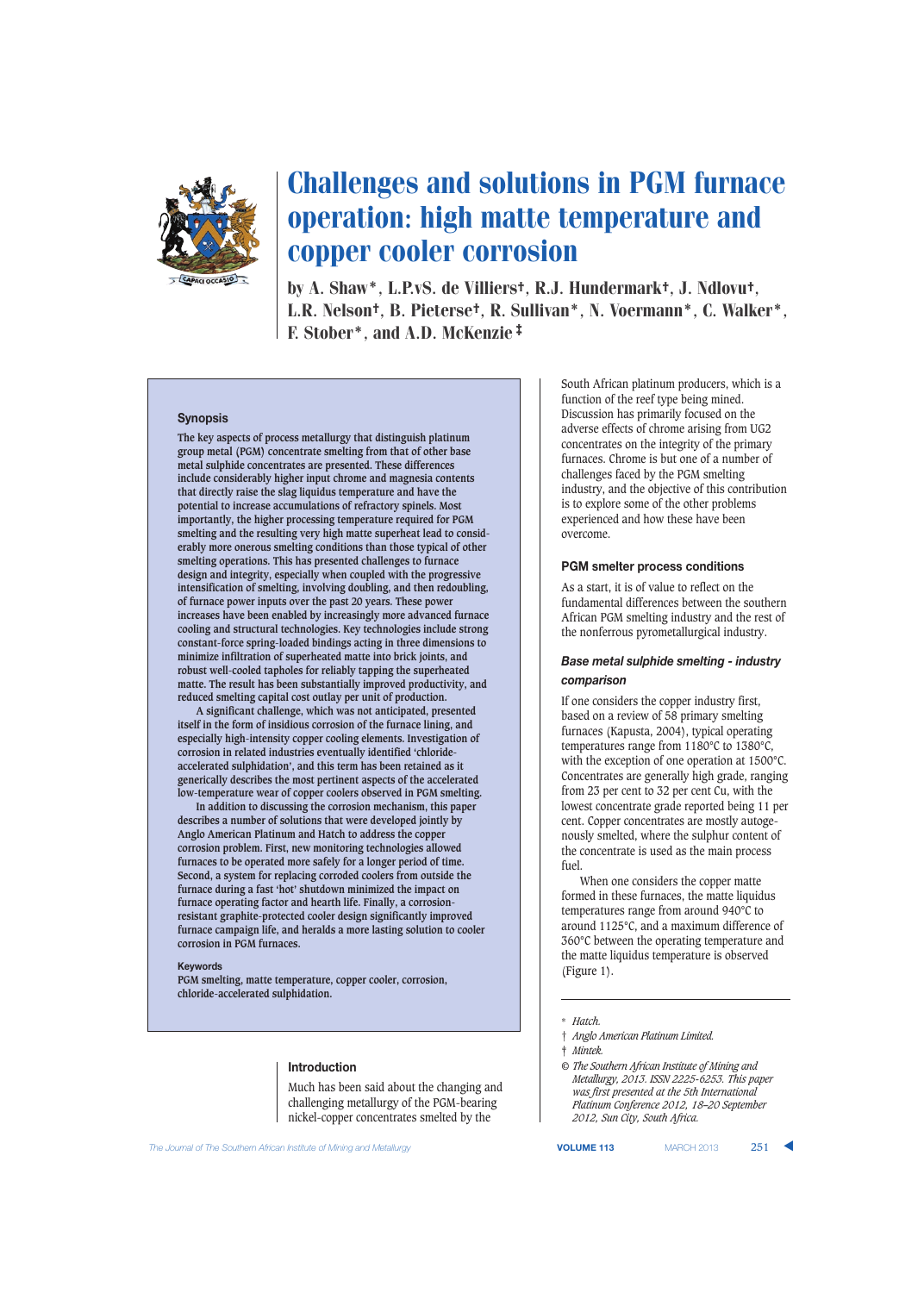

# Challenges and solutions in PGM furnace operation: high matte temperature and copper cooler corrosion

by A. Shaw\*, L.P.vS. de Villiers†, R.J. Hundermark†, J. Ndlovu†, L.R. Nelson†, B. Pieterse†, R. Sullivan\*, N. Voermann\*, C. Walker\*, F. Stober\*, and A.D. McKenzie‡

### **Synopsis**

**The key aspects of process metallurgy that distinguish platinum group metal (PGM) concentrate smelting from that of other base metal sulphide concentrates are presented. These differences include considerably higher input chrome and magnesia contents that directly raise the slag liquidus temperature and have the potential to increase accumulations of refractory spinels. Most importantly, the higher processing temperature required for PGM smelting and the resulting very high matte superheat lead to considerably more onerous smelting conditions than those typical of other smelting operations. This has presented challenges to furnace design and integrity, especially when coupled with the progressive intensification of smelting, involving doubling, and then redoubling, of furnace power inputs over the past 20 years. These power increases have been enabled by increasingly more advanced furnace cooling and structural technologies. Key technologies include strong constant-force spring-loaded bindings acting in three dimensions to minimize infiltration of superheated matte into brick joints, and robust well-cooled tapholes for reliably tapping the superheated matte. The result has been substantially improved productivity, and reduced smelting capital cost outlay per unit of production.**

**A significant challenge, which was not anticipated, presented itself in the form of insidious corrosion of the furnace lining, and especially high-intensity copper cooling elements. Investigation of corrosion in related industries eventually identified 'chlorideaccelerated sulphidation', and this term has been retained as it generically describes the most pertinent aspects of the accelerated low-temperature wear of copper coolers observed in PGM smelting.**

**In addition to discussing the corrosion mechanism, this paper describes a number of solutions that were developed jointly by Anglo American Platinum and Hatch to address the copper corrosion problem. First, new monitoring technologies allowed furnaces to be operated more safely for a longer period of time. Second, a system for replacing corroded coolers from outside the furnace during a fast 'hot' shutdown minimized the impact on furnace operating factor and hearth life. Finally, a corrosionresistant graphite-protected cooler design significantly improved furnace campaign life, and heralds a more lasting solution to cooler corrosion in PGM furnaces.**

#### **Keywords**

**PGM smelting, matte temperature, copper cooler, corrosion, chloride-accelerated sulphidation.**

### **Introduction**

Much has been said about the changing and challenging metallurgy of the PGM-bearing nickel-copper concentrates smelted by the

South African platinum producers, which is a function of the reef type being mined. Discussion has primarily focused on the adverse effects of chrome arising from UG2 concentrates on the integrity of the primary furnaces. Chrome is but one of a number of challenges faced by the PGM smelting industry, and the objective of this contribution is to explore some of the other problems experienced and how these have been overcome.

#### **PGM smelter process conditions**

As a start, it is of value to reflect on the fundamental differences between the southern African PGM smelting industry and the rest of the nonferrous pyrometallurgical industry.

### *Base metal sulphide smelting - industry comparison*

If one considers the copper industry first, based on a review of 58 primary smelting furnaces (Kapusta, 2004), typical operating temperatures range from 1180°C to 1380°C, with the exception of one operation at 1500°C. Concentrates are generally high grade, ranging from 23 per cent to 32 per cent Cu, with the lowest concentrate grade reported being 11 per cent. Copper concentrates are mostly autogenously smelted, where the sulphur content of the concentrate is used as the main process fuel.

When one considers the copper matte formed in these furnaces, the matte liquidus temperatures range from around 940°C to around 1125°C, and a maximum difference of 360°C between the operating temperature and the matte liquidus temperature is observed (Figure 1).

‡ *Mintek.*

*© The Southern African Institute of Mining and Metallurgy, 2013. ISSN 2225-6253. This paper was first presented at the 5th International Platinum Conference 2012, 18–20 September 2012, Sun City, South Africa.*

**The Journal of The Southern African Institute of Mining and Metallurgy <b>VOLUME 113 VOLUME 113** MARCH 2013 251

<sup>\*</sup> *Hatch.*

<sup>†</sup> *Anglo American Platinum Limited.*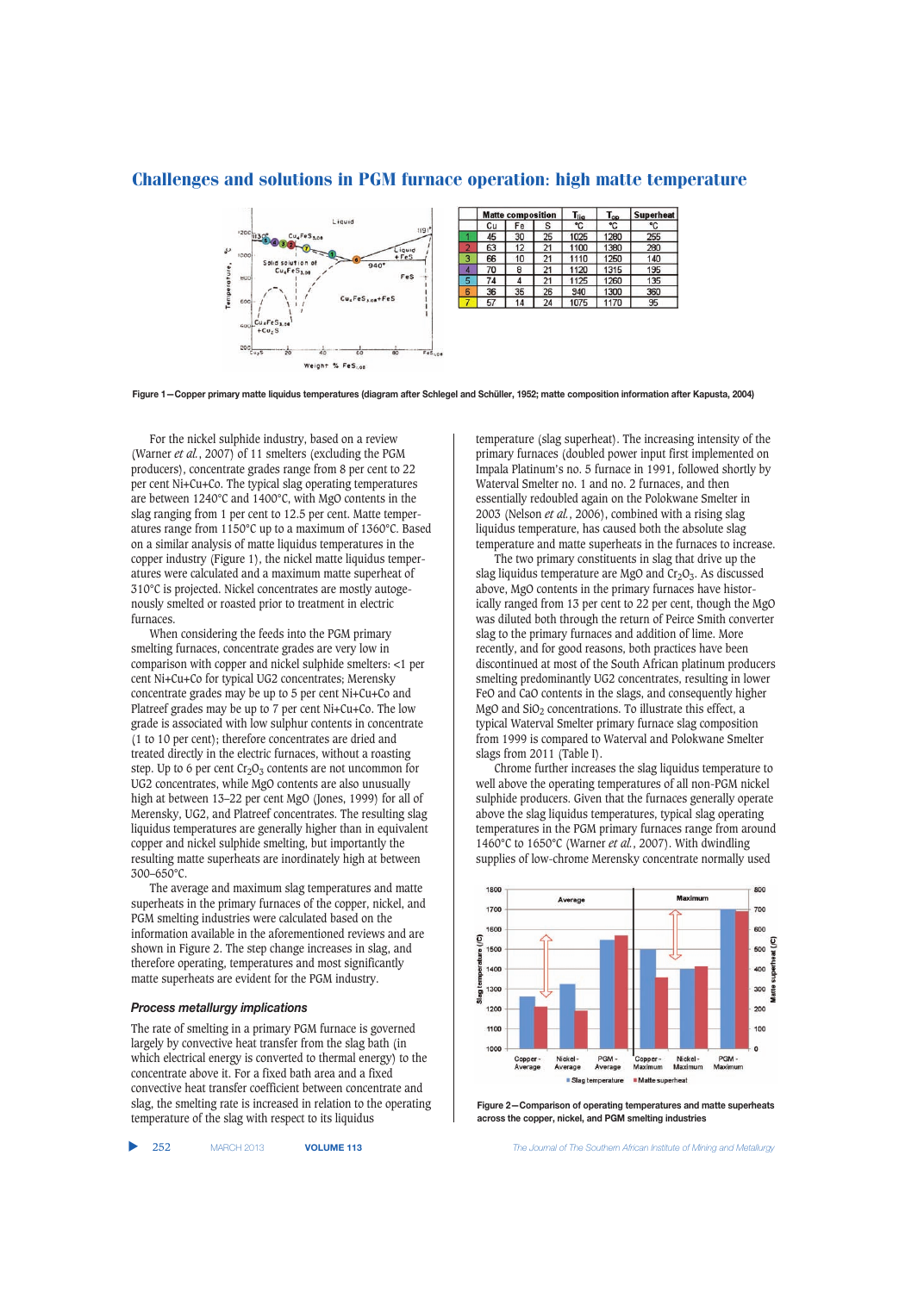

**Figure 1—Copper primary matte liquidus temperatures (diagram after Schlegel and Schüller, 1952; matte composition information after Kapusta, 2004)**

For the nickel sulphide industry, based on a review (Warner *et al.*, 2007) of 11 smelters (excluding the PGM producers), concentrate grades range from 8 per cent to 22 per cent Ni+Cu+Co. The typical slag operating temperatures are between 1240°C and 1400°C, with MgO contents in the slag ranging from 1 per cent to 12.5 per cent. Matte temperatures range from 1150°C up to a maximum of 1360°C. Based on a similar analysis of matte liquidus temperatures in the copper industry (Figure 1), the nickel matte liquidus temperatures were calculated and a maximum matte superheat of 310°C is projected. Nickel concentrates are mostly autogenously smelted or roasted prior to treatment in electric furnaces.

When considering the feeds into the PGM primary smelting furnaces, concentrate grades are very low in comparison with copper and nickel sulphide smelters: <1 per cent Ni+Cu+Co for typical UG2 concentrates; Merensky concentrate grades may be up to 5 per cent Ni+Cu+Co and Platreef grades may be up to 7 per cent Ni+Cu+Co. The low grade is associated with low sulphur contents in concentrate (1 to 10 per cent); therefore concentrates are dried and treated directly in the electric furnaces, without a roasting step. Up to 6 per cent  $Cr_2O_3$  contents are not uncommon for UG2 concentrates, while MgO contents are also unusually high at between 13-22 per cent MgO (Jones, 1999) for all of Merensky, UG2, and Platreef concentrates. The resulting slag liquidus temperatures are generally higher than in equivalent copper and nickel sulphide smelting, but importantly the resulting matte superheats are inordinately high at between 300–650°C.

The average and maximum slag temperatures and matte superheats in the primary furnaces of the copper, nickel, and PGM smelting industries were calculated based on the information available in the aforementioned reviews and are shown in Figure 2. The step change increases in slag, and therefore operating, temperatures and most significantly matte superheats are evident for the PGM industry.

### *Process metallurgy implications*

The rate of smelting in a primary PGM furnace is governed largely by convective heat transfer from the slag bath (in which electrical energy is converted to thermal energy) to the concentrate above it. For a fixed bath area and a fixed convective heat transfer coefficient between concentrate and slag, the smelting rate is increased in relation to the operating temperature of the slag with respect to its liquidus

temperature (slag superheat). The increasing intensity of the primary furnaces (doubled power input first implemented on Impala Platinum's no. 5 furnace in 1991, followed shortly by Waterval Smelter no. 1 and no. 2 furnaces, and then essentially redoubled again on the Polokwane Smelter in 2003 (Nelson *et al.*, 2006), combined with a rising slag liquidus temperature, has caused both the absolute slag temperature and matte superheats in the furnaces to increase.

The two primary constituents in slag that drive up the slag liquidus temperature are MgO and  $Cr<sub>2</sub>O<sub>3</sub>$ . As discussed above, MgO contents in the primary furnaces have historically ranged from 13 per cent to 22 per cent, though the MgO was diluted both through the return of Peirce Smith converter slag to the primary furnaces and addition of lime. More recently, and for good reasons, both practices have been discontinued at most of the South African platinum producers smelting predominantly UG2 concentrates, resulting in lower FeO and CaO contents in the slags, and consequently higher MgO and  $SiO<sub>2</sub>$  concentrations. To illustrate this effect, a typical Waterval Smelter primary furnace slag composition from 1999 is compared to Waterval and Polokwane Smelter slags from 2011 (Table I).

Chrome further increases the slag liquidus temperature to well above the operating temperatures of all non-PGM nickel sulphide producers. Given that the furnaces generally operate above the slag liquidus temperatures, typical slag operating temperatures in the PGM primary furnaces range from around 1460°C to 1650°C (Warner *et al.*, 2007). With dwindling supplies of low-chrome Merensky concentrate normally used



**Figure 2—Comparison of operating temperatures and matte superheats across the copper, nickel, and PGM smelting industries**

▲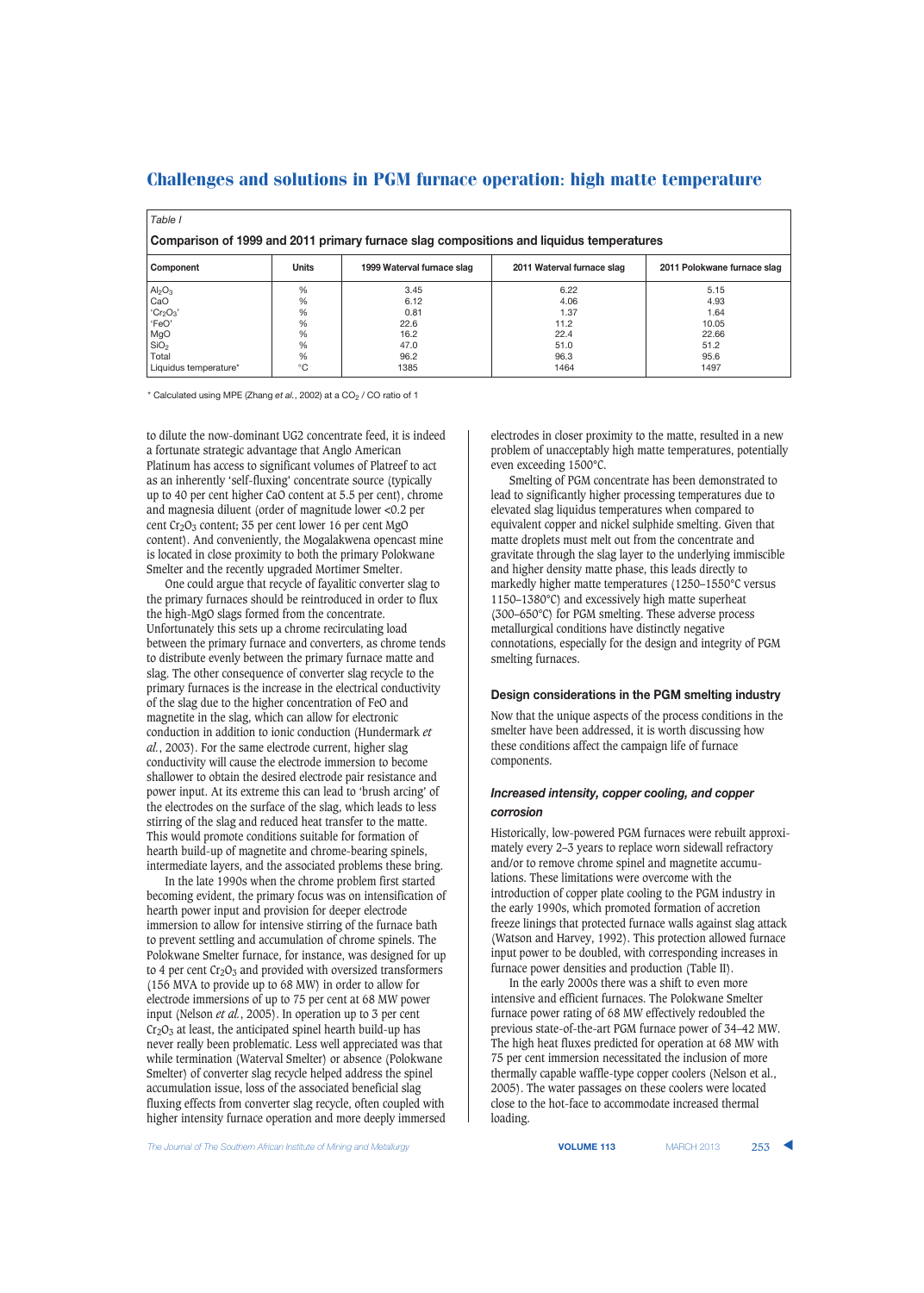| Table I                                                                                 |              |                            |                            |                             |  |  |  |  |
|-----------------------------------------------------------------------------------------|--------------|----------------------------|----------------------------|-----------------------------|--|--|--|--|
| Comparison of 1999 and 2011 primary furnace slag compositions and liquidus temperatures |              |                            |                            |                             |  |  |  |  |
| Component                                                                               | <b>Units</b> | 1999 Waterval furnace slag | 2011 Waterval furnace slag | 2011 Polokwane furnace slag |  |  |  |  |
| Al <sub>2</sub> O <sub>3</sub>                                                          | %            | 3.45                       | 6.22                       | 5.15                        |  |  |  |  |
| CaO                                                                                     | %            | 6.12                       | 4.06                       | 4.93                        |  |  |  |  |
| Cr <sub>2</sub> O <sub>3</sub>                                                          | %            | 0.81                       | 1.37                       | 1.64                        |  |  |  |  |
| 'FeO'                                                                                   | %            | 22.6                       | 11.2                       | 10.05                       |  |  |  |  |
| MgO                                                                                     | %            | 16.2                       | 22.4                       | 22.66                       |  |  |  |  |
| SiO <sub>2</sub>                                                                        | %            | 47.0                       | 51.0                       | 51.2                        |  |  |  |  |
| Total                                                                                   | %            | 96.2                       | 96.3                       | 95.6                        |  |  |  |  |
| Liquidus temperature*                                                                   | $^{\circ}C$  | 1385                       | 1464                       | 1497                        |  |  |  |  |

\* Calculated using MPE (Zhang et al., 2002) at a CO<sub>2</sub> / CO ratio of 1

to dilute the now-dominant UG2 concentrate feed, it is indeed a fortunate strategic advantage that Anglo American Platinum has access to significant volumes of Platreef to act as an inherently 'self-fluxing' concentrate source (typically up to 40 per cent higher CaO content at 5.5 per cent), chrome and magnesia diluent (order of magnitude lower <0.2 per cent  $Cr_2O_3$  content; 35 per cent lower 16 per cent MgO content). And conveniently, the Mogalakwena opencast mine is located in close proximity to both the primary Polokwane Smelter and the recently upgraded Mortimer Smelter.

One could argue that recycle of fayalitic converter slag to the primary furnaces should be reintroduced in order to flux the high-MgO slags formed from the concentrate. Unfortunately this sets up a chrome recirculating load between the primary furnace and converters, as chrome tends to distribute evenly between the primary furnace matte and slag. The other consequence of converter slag recycle to the primary furnaces is the increase in the electrical conductivity of the slag due to the higher concentration of FeO and magnetite in the slag, which can allow for electronic conduction in addition to ionic conduction (Hundermark *et al.*, 2003). For the same electrode current, higher slag conductivity will cause the electrode immersion to become shallower to obtain the desired electrode pair resistance and power input. At its extreme this can lead to 'brush arcing' of the electrodes on the surface of the slag, which leads to less stirring of the slag and reduced heat transfer to the matte. This would promote conditions suitable for formation of hearth build-up of magnetite and chrome-bearing spinels, intermediate layers, and the associated problems these bring.

In the late 1990s when the chrome problem first started becoming evident, the primary focus was on intensification of hearth power input and provision for deeper electrode immersion to allow for intensive stirring of the furnace bath to prevent settling and accumulation of chrome spinels. The Polokwane Smelter furnace, for instance, was designed for up to 4 per cent  $Cr_2O_3$  and provided with oversized transformers (156 MVA to provide up to 68 MW) in order to allow for electrode immersions of up to 75 per cent at 68 MW power input (Nelson *et al.*, 2005). In operation up to 3 per cent  $Cr<sub>2</sub>O<sub>3</sub>$  at least, the anticipated spinel hearth build-up has never really been problematic. Less well appreciated was that while termination (Waterval Smelter) or absence (Polokwane Smelter) of converter slag recycle helped address the spinel accumulation issue, loss of the associated beneficial slag fluxing effects from converter slag recycle, often coupled with higher intensity furnace operation and more deeply immersed electrodes in closer proximity to the matte, resulted in a new problem of unacceptably high matte temperatures, potentially even exceeding 1500°C.

Smelting of PGM concentrate has been demonstrated to lead to significantly higher processing temperatures due to elevated slag liquidus temperatures when compared to equivalent copper and nickel sulphide smelting. Given that matte droplets must melt out from the concentrate and gravitate through the slag layer to the underlying immiscible and higher density matte phase, this leads directly to markedly higher matte temperatures (1250–1550°C versus 1150–1380°C) and excessively high matte superheat (300–650°C) for PGM smelting. These adverse process metallurgical conditions have distinctly negative connotations, especially for the design and integrity of PGM smelting furnaces.

### **Design considerations in the PGM smelting industry**

Now that the unique aspects of the process conditions in the smelter have been addressed, it is worth discussing how these conditions affect the campaign life of furnace components.

### *Increased intensity, copper cooling, and copper corrosion*

Historically, low-powered PGM furnaces were rebuilt approximately every 2–3 years to replace worn sidewall refractory and/or to remove chrome spinel and magnetite accumulations. These limitations were overcome with the introduction of copper plate cooling to the PGM industry in the early 1990s, which promoted formation of accretion freeze linings that protected furnace walls against slag attack (Watson and Harvey, 1992). This protection allowed furnace input power to be doubled, with corresponding increases in furnace power densities and production (Table II).

In the early 2000s there was a shift to even more intensive and efficient furnaces. The Polokwane Smelter furnace power rating of 68 MW effectively redoubled the previous state-of-the-art PGM furnace power of 34–42 MW. The high heat fluxes predicted for operation at 68 MW with 75 per cent immersion necessitated the inclusion of more thermally capable waffle-type copper coolers (Nelson et al., 2005). The water passages on these coolers were located close to the hot-face to accommodate increased thermal loading.

**The Journal of The Southern African Institute of Mining and Metallurgy <b>VOLUME 113 VOLUME 113 MARCH 2013** 253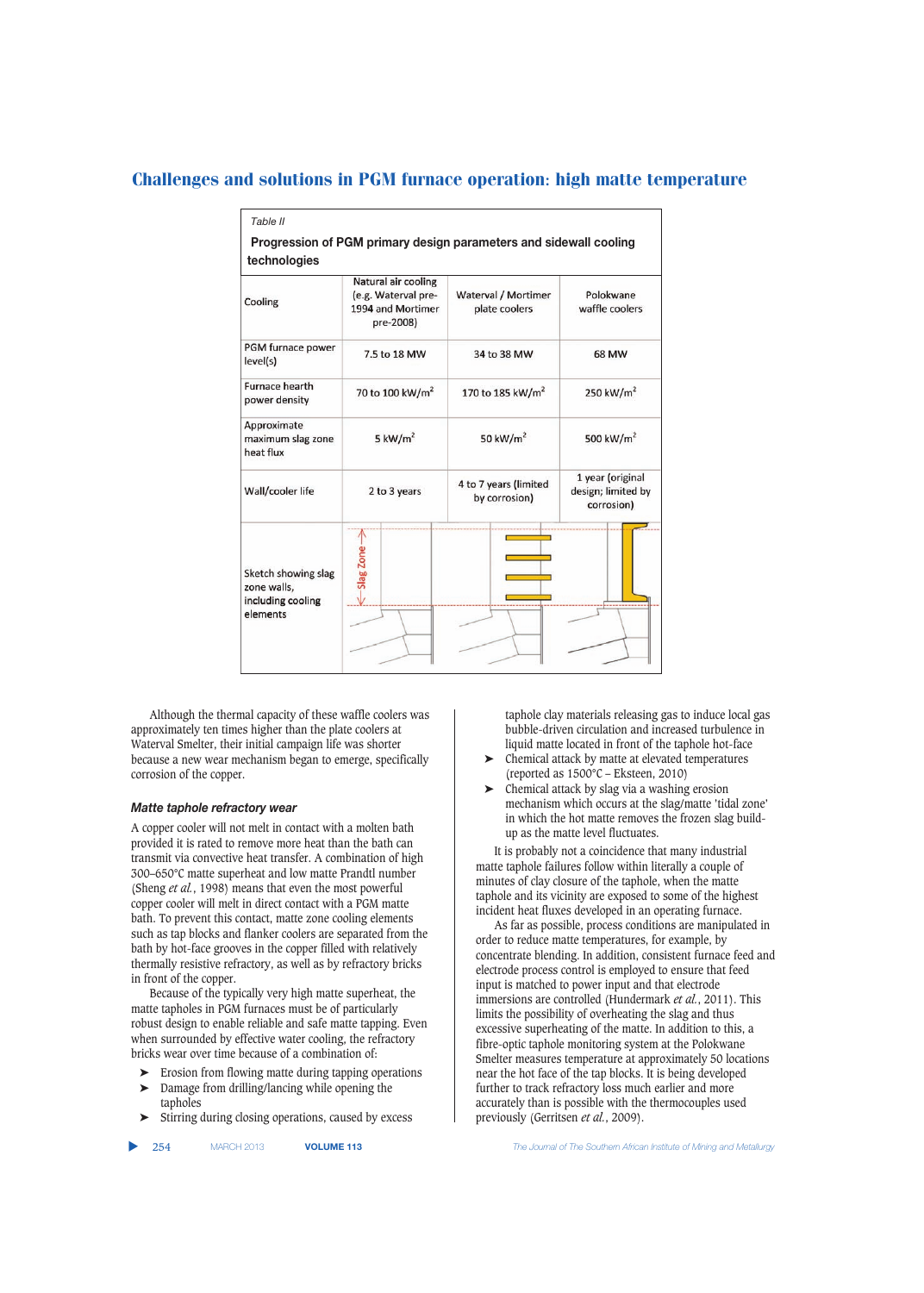| technologies                                                        |                                                                              | Progression of PGM primary design parameters and sidewall cooling |                                                      |  |  |
|---------------------------------------------------------------------|------------------------------------------------------------------------------|-------------------------------------------------------------------|------------------------------------------------------|--|--|
| Cooling                                                             | Natural air cooling<br>(e.g. Waterval pre-<br>1994 and Mortimer<br>pre-2008) | Waterval / Mortimer<br>plate coolers                              | Polokwane<br>waffle coolers                          |  |  |
| PGM furnace power<br>level(s)                                       | 7.5 to 18 MW                                                                 | 34 to 38 MW                                                       | 68 MW                                                |  |  |
| <b>Furnace hearth</b><br>power density                              | 70 to 100 kW/m <sup>2</sup>                                                  | 170 to 185 kW/m <sup>2</sup>                                      | 250 kW/ $m2$                                         |  |  |
| Approximate<br>maximum slag zone<br>heat flux                       | 5 $kW/m2$                                                                    | 50 kW/m <sup>2</sup>                                              | 500 kW/m <sup>2</sup>                                |  |  |
| Wall/cooler life                                                    | 2 to 3 years                                                                 | 4 to 7 years (limited<br>by corrosion)                            | 1 year (original<br>design; limited by<br>corrosion) |  |  |
| Sketch showing slag<br>zone walls,<br>including cooling<br>elements | Slag Zone-                                                                   |                                                                   |                                                      |  |  |

Although the thermal capacity of these waffle coolers was approximately ten times higher than the plate coolers at Waterval Smelter, their initial campaign life was shorter because a new wear mechanism began to emerge, specifically corrosion of the copper.

### *Matte taphole refractory wear*

A copper cooler will not melt in contact with a molten bath provided it is rated to remove more heat than the bath can transmit via convective heat transfer. A combination of high 300–650°C matte superheat and low matte Prandtl number (Sheng *et al.*, 1998) means that even the most powerful copper cooler will melt in direct contact with a PGM matte bath. To prevent this contact, matte zone cooling elements such as tap blocks and flanker coolers are separated from the bath by hot-face grooves in the copper filled with relatively thermally resistive refractory, as well as by refractory bricks in front of the copper.

Because of the typically very high matte superheat, the matte tapholes in PGM furnaces must be of particularly robust design to enable reliable and safe matte tapping. Even when surrounded by effective water cooling, the refractory bricks wear over time because of a combination of:

- ➤ Erosion from flowing matte during tapping operations
- ➤ Damage from drilling/lancing while opening the tapholes
- Stirring during closing operations, caused by excess

taphole clay materials releasing gas to induce local gas bubble-driven circulation and increased turbulence in liquid matte located in front of the taphole hot-face

- ➤ Chemical attack by matte at elevated temperatures (reported as 1500°C – Eksteen, 2010)
- ➤ Chemical attack by slag via a washing erosion mechanism which occurs at the slag/matte 'tidal zone' in which the hot matte removes the frozen slag buildup as the matte level fluctuates.

It is probably not a coincidence that many industrial matte taphole failures follow within literally a couple of minutes of clay closure of the taphole, when the matte taphole and its vicinity are exposed to some of the highest incident heat fluxes developed in an operating furnace.

As far as possible, process conditions are manipulated in order to reduce matte temperatures, for example, by concentrate blending. In addition, consistent furnace feed and electrode process control is employed to ensure that feed input is matched to power input and that electrode immersions are controlled (Hundermark *et al.*, 2011). This limits the possibility of overheating the slag and thus excessive superheating of the matte. In addition to this, a fibre-optic taphole monitoring system at the Polokwane Smelter measures temperature at approximately 50 locations near the hot face of the tap blocks. It is being developed further to track refractory loss much earlier and more accurately than is possible with the thermocouples used previously (Gerritsen *et al.*, 2009).

▲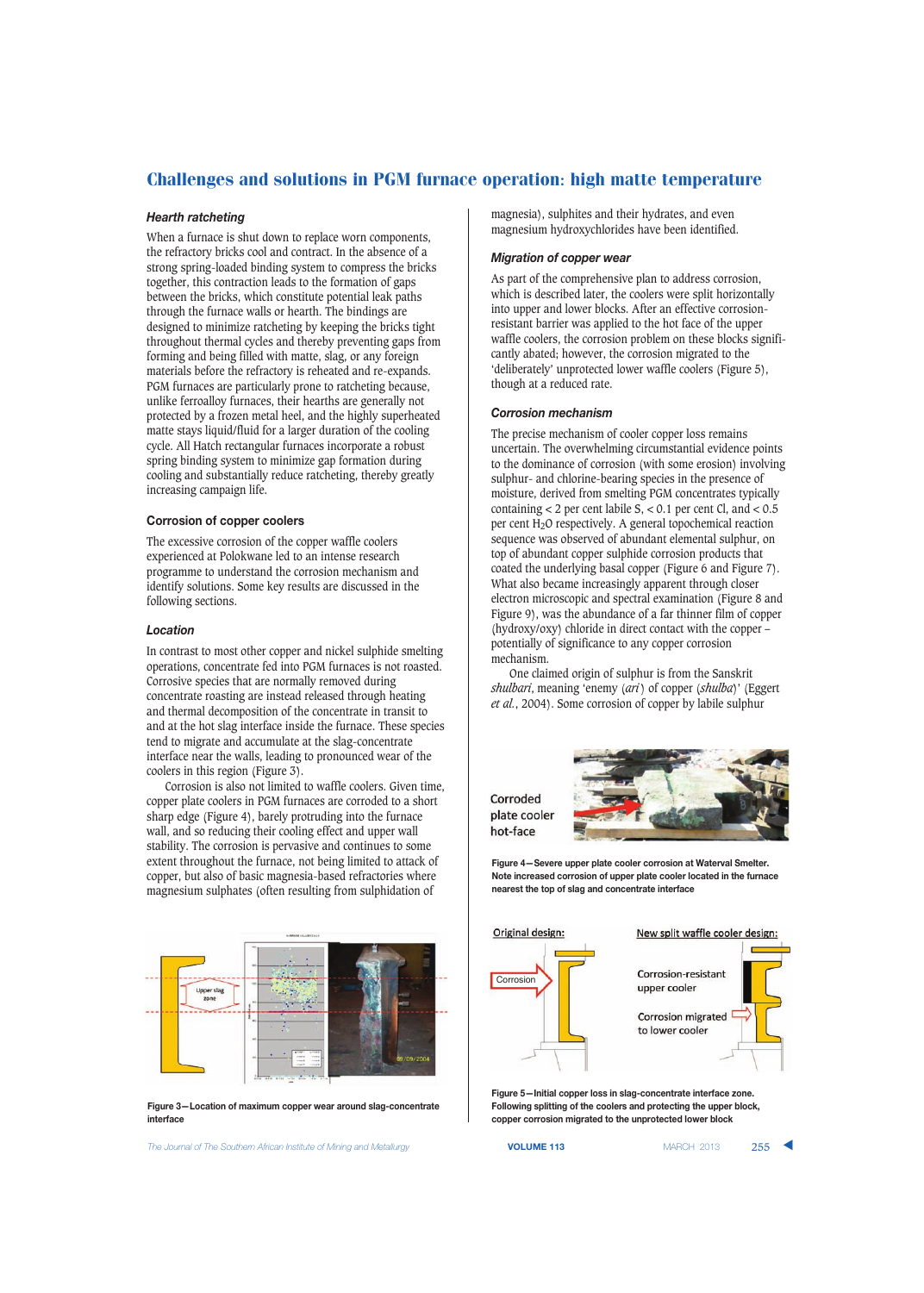### *Hearth ratcheting*

When a furnace is shut down to replace worn components, the refractory bricks cool and contract. In the absence of a strong spring-loaded binding system to compress the bricks together, this contraction leads to the formation of gaps between the bricks, which constitute potential leak paths through the furnace walls or hearth. The bindings are designed to minimize ratcheting by keeping the bricks tight throughout thermal cycles and thereby preventing gaps from forming and being filled with matte, slag, or any foreign materials before the refractory is reheated and re-expands. PGM furnaces are particularly prone to ratcheting because, unlike ferroalloy furnaces, their hearths are generally not protected by a frozen metal heel, and the highly superheated matte stays liquid/fluid for a larger duration of the cooling cycle. All Hatch rectangular furnaces incorporate a robust spring binding system to minimize gap formation during cooling and substantially reduce ratcheting, thereby greatly increasing campaign life.

### **Corrosion of copper coolers**

The excessive corrosion of the copper waffle coolers experienced at Polokwane led to an intense research programme to understand the corrosion mechanism and identify solutions. Some key results are discussed in the following sections.

### *Location*

In contrast to most other copper and nickel sulphide smelting operations, concentrate fed into PGM furnaces is not roasted. Corrosive species that are normally removed during concentrate roasting are instead released through heating and thermal decomposition of the concentrate in transit to and at the hot slag interface inside the furnace. These species tend to migrate and accumulate at the slag-concentrate interface near the walls, leading to pronounced wear of the coolers in this region (Figure 3).

Corrosion is also not limited to waffle coolers. Given time, copper plate coolers in PGM furnaces are corroded to a short sharp edge (Figure 4), barely protruding into the furnace wall, and so reducing their cooling effect and upper wall stability. The corrosion is pervasive and continues to some extent throughout the furnace, not being limited to attack of copper, but also of basic magnesia-based refractories where magnesium sulphates (often resulting from sulphidation of



**Figure 3—Location of maximum copper wear around slag-concentrate interface**

**The Journal of The Southern African Institute of Mining and Metallurgy <b>VOLUME 113 VOLUME 113 MARCH 2013** 255

magnesia), sulphites and their hydrates, and even magnesium hydroxychlorides have been identified.

### *Migration of copper wear*

As part of the comprehensive plan to address corrosion, which is described later, the coolers were split horizontally into upper and lower blocks. After an effective corrosionresistant barrier was applied to the hot face of the upper waffle coolers, the corrosion problem on these blocks significantly abated; however, the corrosion migrated to the 'deliberately' unprotected lower waffle coolers (Figure 5), though at a reduced rate.

#### *Corrosion mechanism*

The precise mechanism of cooler copper loss remains uncertain. The overwhelming circumstantial evidence points to the dominance of corrosion (with some erosion) involving sulphur- and chlorine-bearing species in the presence of moisture, derived from smelting PGM concentrates typically containing  $<$  2 per cent labile S,  $<$  0.1 per cent Cl, and  $<$  0.5 per cent H2O respectively. A general topochemical reaction sequence was observed of abundant elemental sulphur, on top of abundant copper sulphide corrosion products that coated the underlying basal copper (Figure 6 and Figure 7). What also became increasingly apparent through closer electron microscopic and spectral examination (Figure 8 and Figure 9), was the abundance of a far thinner film of copper (hydroxy/oxy) chloride in direct contact with the copper – potentially of significance to any copper corrosion mechanism.

One claimed origin of sulphur is from the Sanskrit *shulbari*, meaning 'enemy (*ari* ) of copper (*shulba*)' (Eggert *et al.*, 2004). Some corrosion of copper by labile sulphur

Corroded plate cooler hot-face



**Figure 4—Severe upper plate cooler corrosion at Waterval Smelter. Note increased corrosion of upper plate cooler located in the furnace nearest the top of slag and concentrate interface**



**Figure 5—Initial copper loss in slag-concentrate interface zone. Following splitting of the coolers and protecting the upper block, copper corrosion migrated to the unprotected lower block**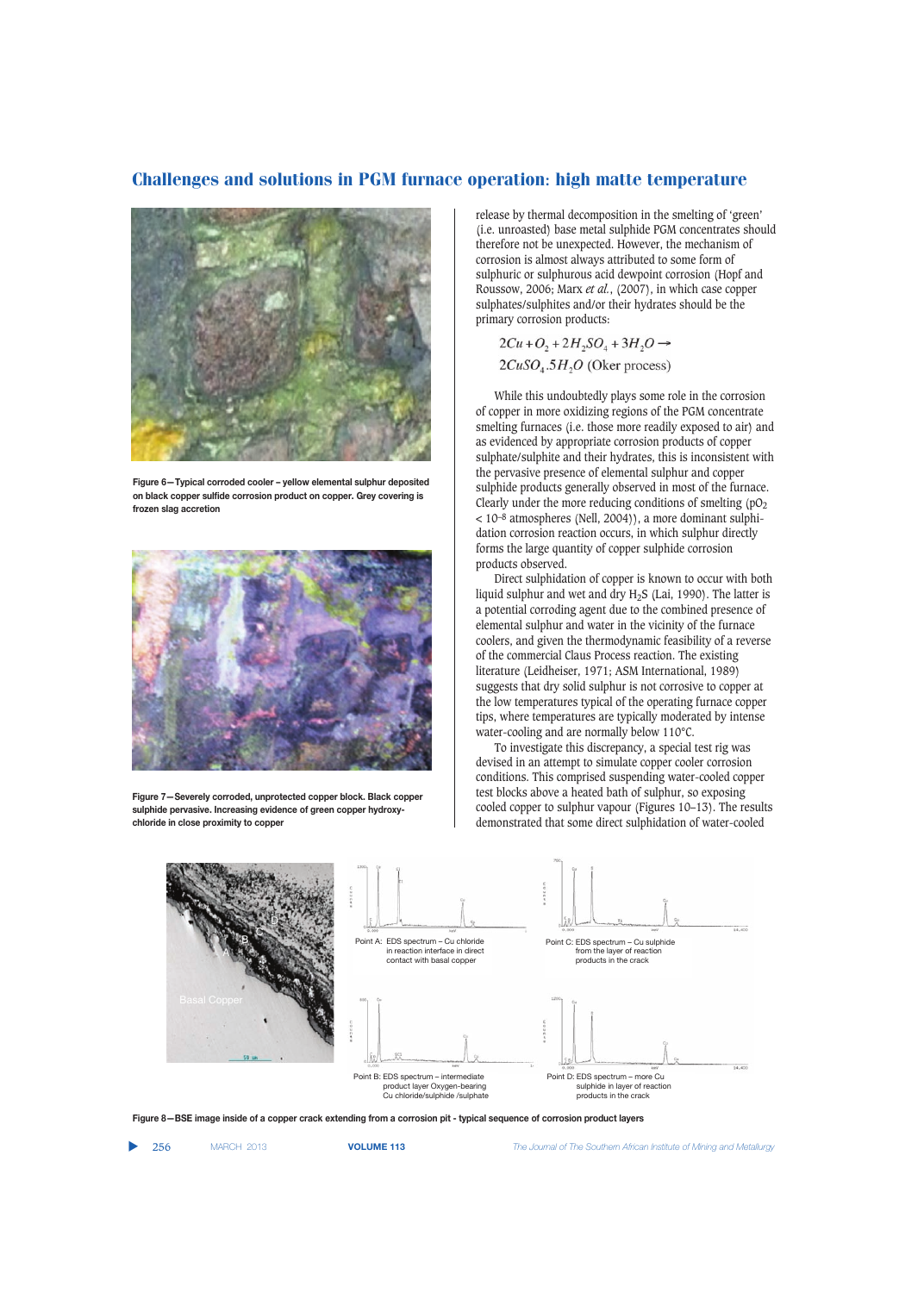

**Figure 6—Typical corroded cooler – yellow elemental sulphur deposited on black copper sulfide corrosion product on copper. Grey covering is frozen slag accretion**



**Figure 7—Severely corroded, unprotected copper block. Black copper sulphide pervasive. Increasing evidence of green copper hydroxychloride in close proximity to copper**

release by thermal decomposition in the smelting of 'green' (i.e. unroasted) base metal sulphide PGM concentrates should therefore not be unexpected. However, the mechanism of corrosion is almost always attributed to some form of sulphuric or sulphurous acid dewpoint corrosion (Hopf and Roussow, 2006; Marx *et al.*, (2007), in which case copper sulphates/sulphites and/or their hydrates should be the primary corrosion products:

 $2Cu+O_2+2H_2SO_4+3H_2O \rightarrow$  $2CuSO<sub>4</sub>.5H<sub>2</sub>O$  (Oker process)

While this undoubtedly plays some role in the corrosion of copper in more oxidizing regions of the PGM concentrate smelting furnaces (i.e. those more readily exposed to air) and as evidenced by appropriate corrosion products of copper sulphate/sulphite and their hydrates, this is inconsistent with the pervasive presence of elemental sulphur and copper sulphide products generally observed in most of the furnace. Clearly under the more reducing conditions of smelting  $(pO<sub>2</sub>)$  $<$  10<sup>-8</sup> atmospheres (Nell, 2004)), a more dominant sulphidation corrosion reaction occurs, in which sulphur directly forms the large quantity of copper sulphide corrosion products observed.

Direct sulphidation of copper is known to occur with both liquid sulphur and wet and dry H2S (Lai, 1990). The latter is a potential corroding agent due to the combined presence of elemental sulphur and water in the vicinity of the furnace coolers, and given the thermodynamic feasibility of a reverse of the commercial Claus Process reaction. The existing literature (Leidheiser, 1971; ASM International, 1989) suggests that dry solid sulphur is not corrosive to copper at the low temperatures typical of the operating furnace copper tips, where temperatures are typically moderated by intense water-cooling and are normally below 110°C.

To investigate this discrepancy, a special test rig was devised in an attempt to simulate copper cooler corrosion conditions. This comprised suspending water-cooled copper test blocks above a heated bath of sulphur, so exposing cooled copper to sulphur vapour (Figures 10–13). The results demonstrated that some direct sulphidation of water-cooled



**Figure 8—BSE image inside of a copper crack extending from a corrosion pit - typical sequence of corrosion product layers**

▲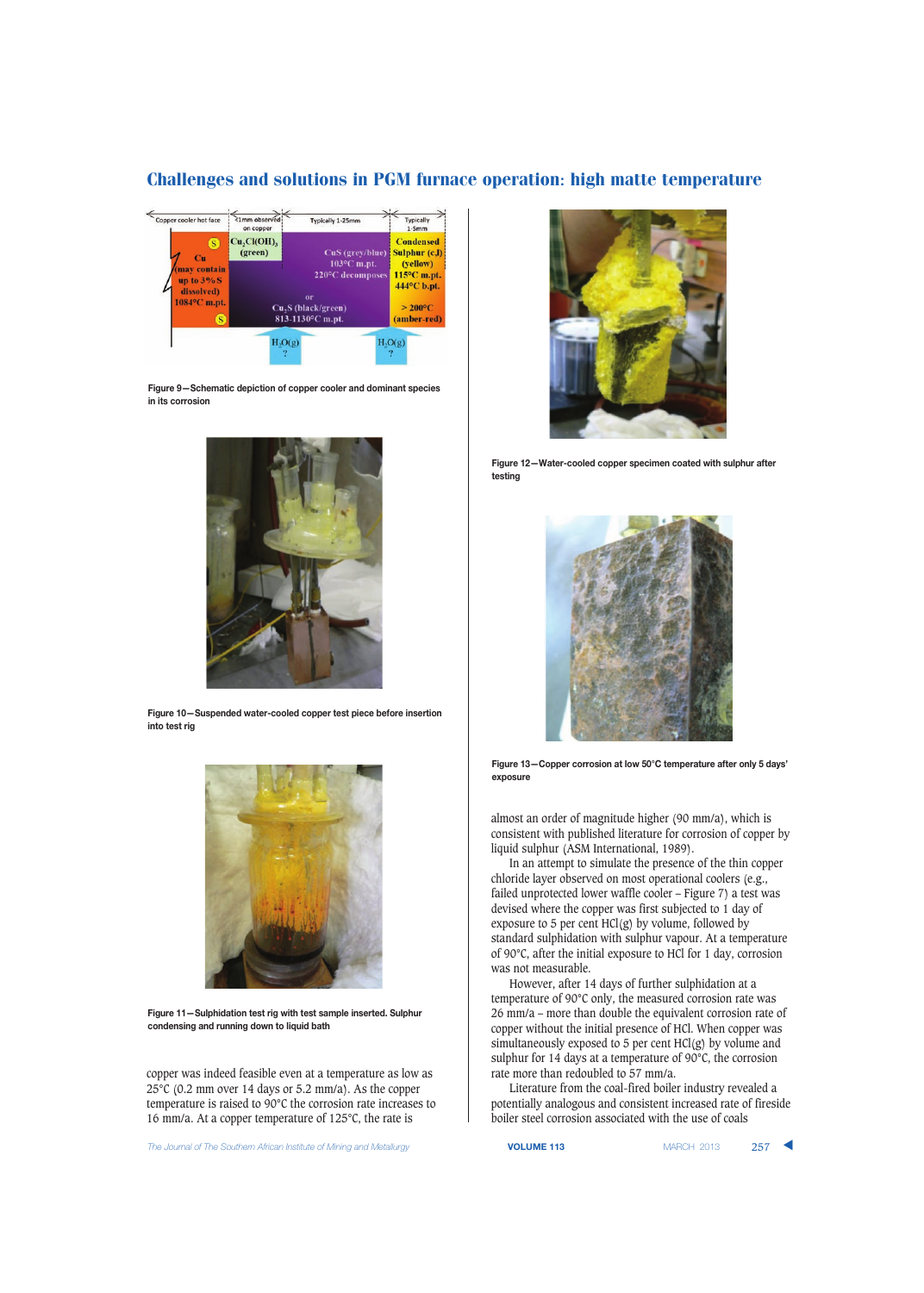

**Figure 9—Schematic depiction of copper cooler and dominant species in its corrosion**



**Figure 10—Suspended water-cooled copper test piece before insertion into test rig**



**Figure 11—Sulphidation test rig with test sample inserted. Sulphur condensing and running down to liquid bath**

copper was indeed feasible even at a temperature as low as 25°C (0.2 mm over 14 days or 5.2 mm/a). As the copper temperature is raised to 90°C the corrosion rate increases to 16 mm/a. At a copper temperature of 125°C, the rate is

**The Journal of The Southern African Institute of Mining and Metallurgy <b>VOLUME 113 VOLUME 113** MARCH 2013 257



**Figure 12—Water-cooled copper specimen coated with sulphur after testing**



**Figure 13—Copper corrosion at low 50°C temperature after only 5 days' exposure**

almost an order of magnitude higher (90 mm/a), which is consistent with published literature for corrosion of copper by liquid sulphur (ASM International, 1989).

In an attempt to simulate the presence of the thin copper chloride layer observed on most operational coolers (e.g., failed unprotected lower waffle cooler – Figure 7) a test was devised where the copper was first subjected to 1 day of exposure to 5 per cent  $HCl(g)$  by volume, followed by standard sulphidation with sulphur vapour. At a temperature of 90°C, after the initial exposure to HCl for 1 day, corrosion was not measurable.

However, after 14 days of further sulphidation at a temperature of 90°C only, the measured corrosion rate was 26 mm/a – more than double the equivalent corrosion rate of copper without the initial presence of HCl. When copper was simultaneously exposed to 5 per cent  $HCl(g)$  by volume and sulphur for 14 days at a temperature of 90°C, the corrosion rate more than redoubled to 57 mm/a.

Literature from the coal-fired boiler industry revealed a potentially analogous and consistent increased rate of fireside boiler steel corrosion associated with the use of coals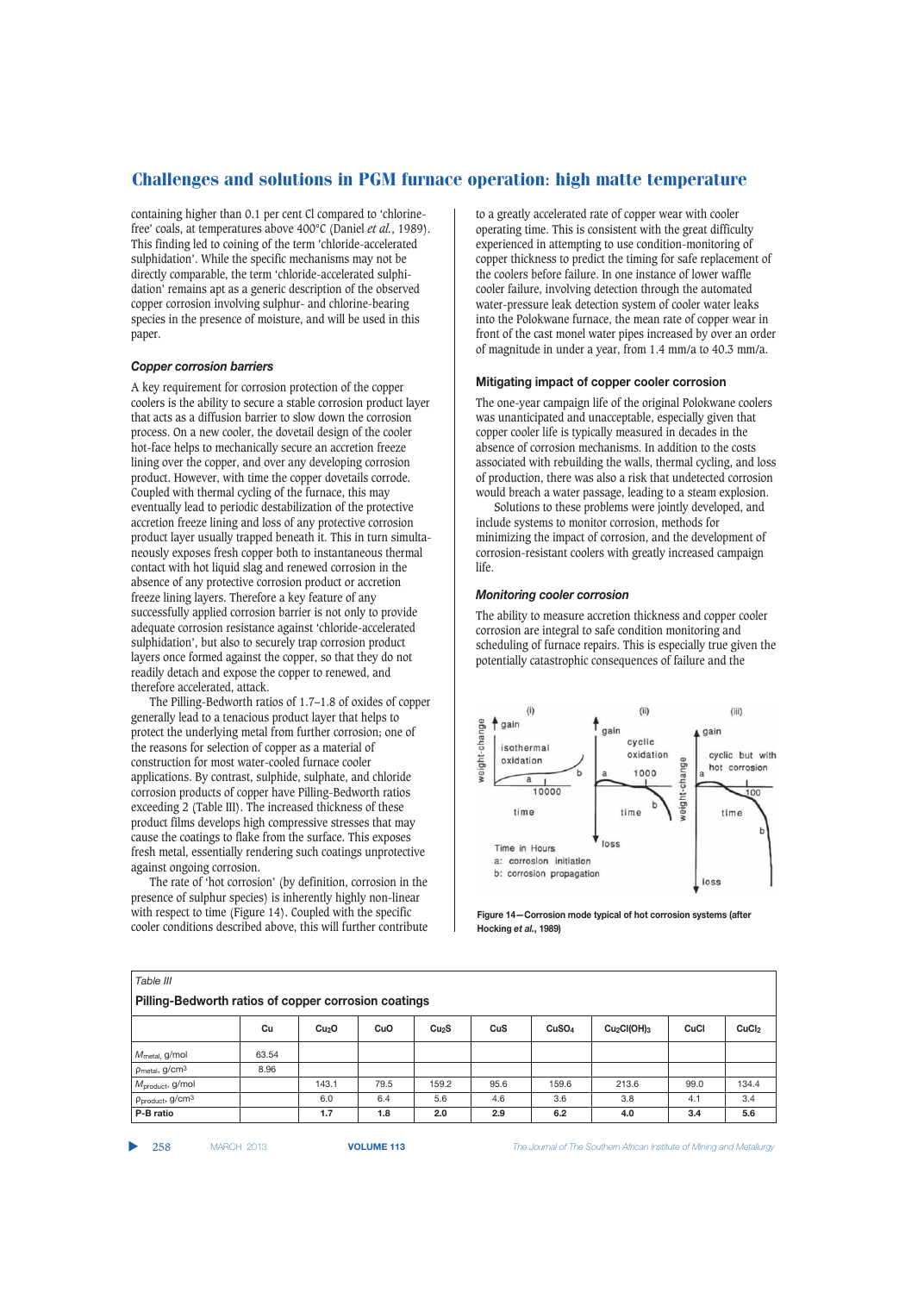containing higher than 0.1 per cent Cl compared to 'chlorinefree' coals, at temperatures above 400°C (Daniel *et al.*, 1989). This finding led to coining of the term 'chloride-accelerated sulphidation'. While the specific mechanisms may not be directly comparable, the term 'chloride-accelerated sulphidation' remains apt as a generic description of the observed copper corrosion involving sulphur- and chlorine-bearing species in the presence of moisture, and will be used in this paper.

#### *Copper corrosion barriers*

A key requirement for corrosion protection of the copper coolers is the ability to secure a stable corrosion product layer that acts as a diffusion barrier to slow down the corrosion process. On a new cooler, the dovetail design of the cooler hot-face helps to mechanically secure an accretion freeze lining over the copper, and over any developing corrosion product. However, with time the copper dovetails corrode. Coupled with thermal cycling of the furnace, this may eventually lead to periodic destabilization of the protective accretion freeze lining and loss of any protective corrosion product layer usually trapped beneath it. This in turn simultaneously exposes fresh copper both to instantaneous thermal contact with hot liquid slag and renewed corrosion in the absence of any protective corrosion product or accretion freeze lining layers. Therefore a key feature of any successfully applied corrosion barrier is not only to provide adequate corrosion resistance against 'chloride-accelerated sulphidation', but also to securely trap corrosion product layers once formed against the copper, so that they do not readily detach and expose the copper to renewed, and therefore accelerated, attack.

The Pilling-Bedworth ratios of 1.7–1.8 of oxides of copper generally lead to a tenacious product layer that helps to protect the underlying metal from further corrosion; one of the reasons for selection of copper as a material of construction for most water-cooled furnace cooler applications. By contrast, sulphide, sulphate, and chloride corrosion products of copper have Pilling-Bedworth ratios exceeding 2 (Table III). The increased thickness of these product films develops high compressive stresses that may cause the coatings to flake from the surface. This exposes fresh metal, essentially rendering such coatings unprotective against ongoing corrosion.

The rate of 'hot corrosion' (by definition, corrosion in the presence of sulphur species) is inherently highly non-linear with respect to time (Figure 14). Coupled with the specific cooler conditions described above, this will further contribute

to a greatly accelerated rate of copper wear with cooler operating time. This is consistent with the great difficulty experienced in attempting to use condition-monitoring of copper thickness to predict the timing for safe replacement of the coolers before failure. In one instance of lower waffle cooler failure, involving detection through the automated water-pressure leak detection system of cooler water leaks into the Polokwane furnace, the mean rate of copper wear in front of the cast monel water pipes increased by over an order of magnitude in under a year, from 1.4 mm/a to 40.3 mm/a.

#### **Mitigating impact of copper cooler corrosion**

The one-year campaign life of the original Polokwane coolers was unanticipated and unacceptable, especially given that copper cooler life is typically measured in decades in the absence of corrosion mechanisms. In addition to the costs associated with rebuilding the walls, thermal cycling, and loss of production, there was also a risk that undetected corrosion would breach a water passage, leading to a steam explosion.

Solutions to these problems were jointly developed, and include systems to monitor corrosion, methods for minimizing the impact of corrosion, and the development of corrosion-resistant coolers with greatly increased campaign life.

#### *Monitoring cooler corrosion*

The ability to measure accretion thickness and copper cooler corrosion are integral to safe condition monitoring and scheduling of furnace repairs. This is especially true given the potentially catastrophic consequences of failure and the



**Figure 14—Corrosion mode typical of hot corrosion systems (after Hocking** *et al.***, 1989)**

| Table III                                            |       |                   |      |                   |      |                   |                                     |      |                   |  |
|------------------------------------------------------|-------|-------------------|------|-------------------|------|-------------------|-------------------------------------|------|-------------------|--|
| Pilling-Bedworth ratios of copper corrosion coatings |       |                   |      |                   |      |                   |                                     |      |                   |  |
|                                                      | Cu    | Cu <sub>2</sub> O | CuO  | Cu <sub>2</sub> S | CuS  | CuSO <sub>4</sub> | Cu <sub>2</sub> Cl(OH) <sub>3</sub> | CuCl | CuC <sub>l2</sub> |  |
| $M_{\text{metal}}$ g/mol                             | 63.54 |                   |      |                   |      |                   |                                     |      |                   |  |
| $\rho_{\text{metal}}$ , g/cm <sup>3</sup>            | 8.96  |                   |      |                   |      |                   |                                     |      |                   |  |
| $M_{\text{product}}$ , g/mol                         |       | 143.1             | 79.5 | 159.2             | 95.6 | 159.6             | 213.6                               | 99.0 | 134.4             |  |
| $\rho_{product}$ , g/cm <sup>3</sup>                 |       | 6.0               | 6.4  | 5.6               | 4.6  | 3.6               | 3.8                                 | 4.1  | 3.4               |  |
| P-B ratio                                            |       | 1.7               | 1.8  | 2.0               | 2.9  | 6.2               | 4.0                                 | 3.4  | 5.6               |  |

▲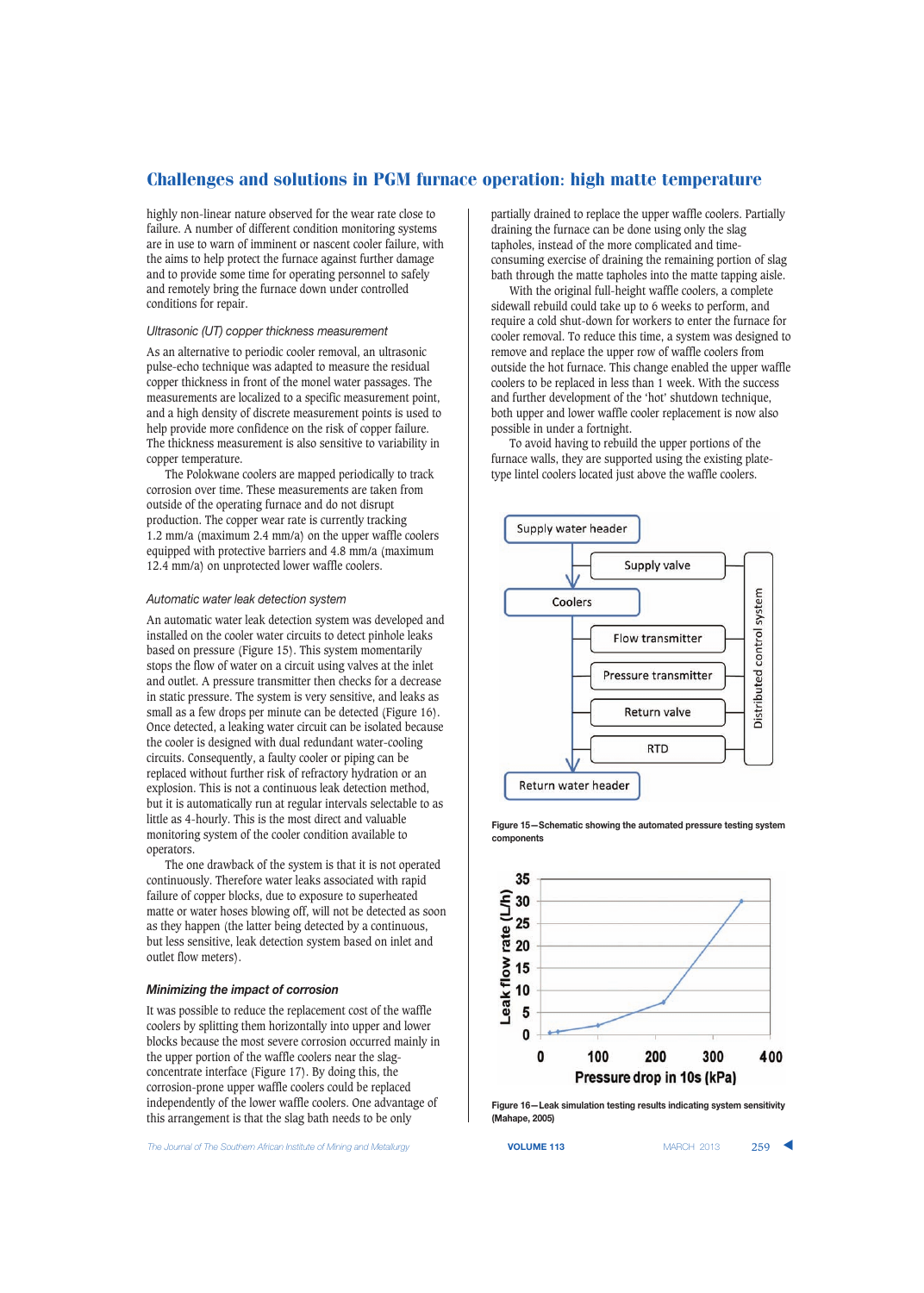highly non-linear nature observed for the wear rate close to failure. A number of different condition monitoring systems are in use to warn of imminent or nascent cooler failure, with the aims to help protect the furnace against further damage and to provide some time for operating personnel to safely and remotely bring the furnace down under controlled conditions for repair.

### *Ultrasonic (UT) copper thickness measurement*

As an alternative to periodic cooler removal, an ultrasonic pulse-echo technique was adapted to measure the residual copper thickness in front of the monel water passages. The measurements are localized to a specific measurement point, and a high density of discrete measurement points is used to help provide more confidence on the risk of copper failure. The thickness measurement is also sensitive to variability in copper temperature.

The Polokwane coolers are mapped periodically to track corrosion over time. These measurements are taken from outside of the operating furnace and do not disrupt production. The copper wear rate is currently tracking 1.2 mm/a (maximum 2.4 mm/a) on the upper waffle coolers equipped with protective barriers and 4.8 mm/a (maximum 12.4 mm/a) on unprotected lower waffle coolers.

### *Automatic water leak detection system*

An automatic water leak detection system was developed and installed on the cooler water circuits to detect pinhole leaks based on pressure (Figure 15). This system momentarily stops the flow of water on a circuit using valves at the inlet and outlet. A pressure transmitter then checks for a decrease in static pressure. The system is very sensitive, and leaks as small as a few drops per minute can be detected (Figure 16). Once detected, a leaking water circuit can be isolated because the cooler is designed with dual redundant water-cooling circuits. Consequently, a faulty cooler or piping can be replaced without further risk of refractory hydration or an explosion. This is not a continuous leak detection method, but it is automatically run at regular intervals selectable to as little as 4-hourly. This is the most direct and valuable monitoring system of the cooler condition available to operators.

The one drawback of the system is that it is not operated continuously. Therefore water leaks associated with rapid failure of copper blocks, due to exposure to superheated matte or water hoses blowing off, will not be detected as soon as they happen (the latter being detected by a continuous, but less sensitive, leak detection system based on inlet and outlet flow meters).

#### *Minimizing the impact of corrosion*

It was possible to reduce the replacement cost of the waffle coolers by splitting them horizontally into upper and lower blocks because the most severe corrosion occurred mainly in the upper portion of the waffle coolers near the slagconcentrate interface (Figure 17). By doing this, the corrosion-prone upper waffle coolers could be replaced independently of the lower waffle coolers. One advantage of this arrangement is that the slag bath needs to be only

**The Journal of The Southern African Institute of Mining and Metallurgy <b>VOLUME 113 VOLUME 113 MARCH 2013** 259

partially drained to replace the upper waffle coolers. Partially draining the furnace can be done using only the slag tapholes, instead of the more complicated and timeconsuming exercise of draining the remaining portion of slag bath through the matte tapholes into the matte tapping aisle.

With the original full-height waffle coolers, a complete sidewall rebuild could take up to 6 weeks to perform, and require a cold shut-down for workers to enter the furnace for cooler removal. To reduce this time, a system was designed to remove and replace the upper row of waffle coolers from outside the hot furnace. This change enabled the upper waffle coolers to be replaced in less than 1 week. With the success and further development of the 'hot' shutdown technique, both upper and lower waffle cooler replacement is now also possible in under a fortnight.

To avoid having to rebuild the upper portions of the furnace walls, they are supported using the existing platetype lintel coolers located just above the waffle coolers.



**Figure 15—Schematic showing the automated pressure testing system components**



**Figure 16—Leak simulation testing results indicating system sensitivity (Mahape, 2005)**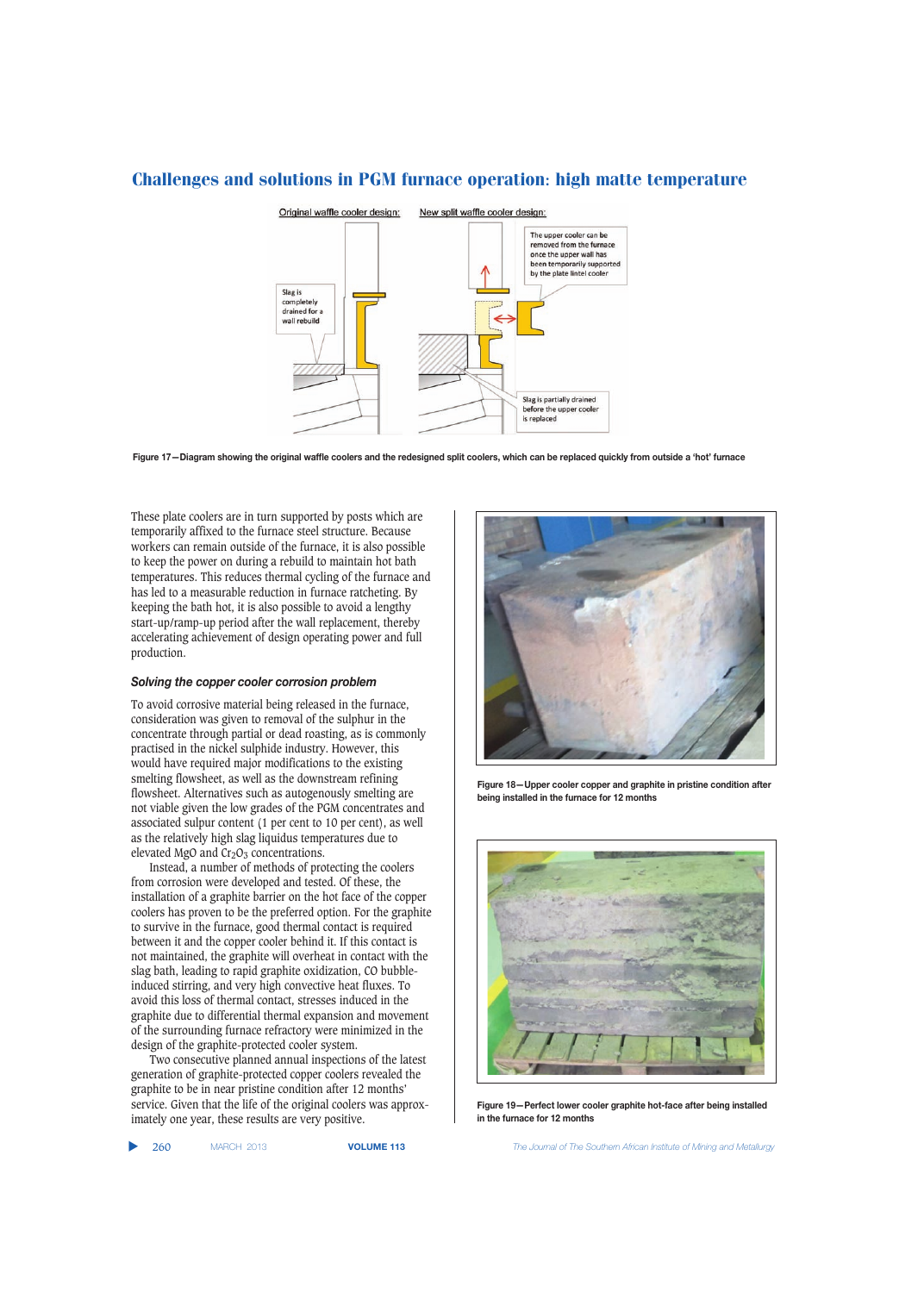

**Figure 17—Diagram showing the original waffle coolers and the redesigned split coolers, which can be replaced quickly from outside a 'hot' furnace**

These plate coolers are in turn supported by posts which are temporarily affixed to the furnace steel structure. Because workers can remain outside of the furnace, it is also possible to keep the power on during a rebuild to maintain hot bath temperatures. This reduces thermal cycling of the furnace and has led to a measurable reduction in furnace ratcheting. By keeping the bath hot, it is also possible to avoid a lengthy start-up/ramp-up period after the wall replacement, thereby accelerating achievement of design operating power and full production.

#### *Solving the copper cooler corrosion problem*

To avoid corrosive material being released in the furnace, consideration was given to removal of the sulphur in the concentrate through partial or dead roasting, as is commonly practised in the nickel sulphide industry. However, this would have required major modifications to the existing smelting flowsheet, as well as the downstream refining flowsheet. Alternatives such as autogenously smelting are not viable given the low grades of the PGM concentrates and associated sulpur content (1 per cent to 10 per cent), as well as the relatively high slag liquidus temperatures due to elevated MgO and  $Cr<sub>2</sub>O<sub>3</sub>$  concentrations.

Instead, a number of methods of protecting the coolers from corrosion were developed and tested. Of these, the installation of a graphite barrier on the hot face of the copper coolers has proven to be the preferred option. For the graphite to survive in the furnace, good thermal contact is required between it and the copper cooler behind it. If this contact is not maintained, the graphite will overheat in contact with the slag bath, leading to rapid graphite oxidization, CO bubbleinduced stirring, and very high convective heat fluxes. To avoid this loss of thermal contact, stresses induced in the graphite due to differential thermal expansion and movement of the surrounding furnace refractory were minimized in the design of the graphite-protected cooler system.

Two consecutive planned annual inspections of the latest generation of graphite-protected copper coolers revealed the graphite to be in near pristine condition after 12 months' service. Given that the life of the original coolers was approximately one year, these results are very positive.

**Figure 18—Upper cooler copper and graphite in pristine condition after being installed in the furnace for 12 months**



**Figure 19—Perfect lower cooler graphite hot-face after being installed in the furnace for 12 months**

▲